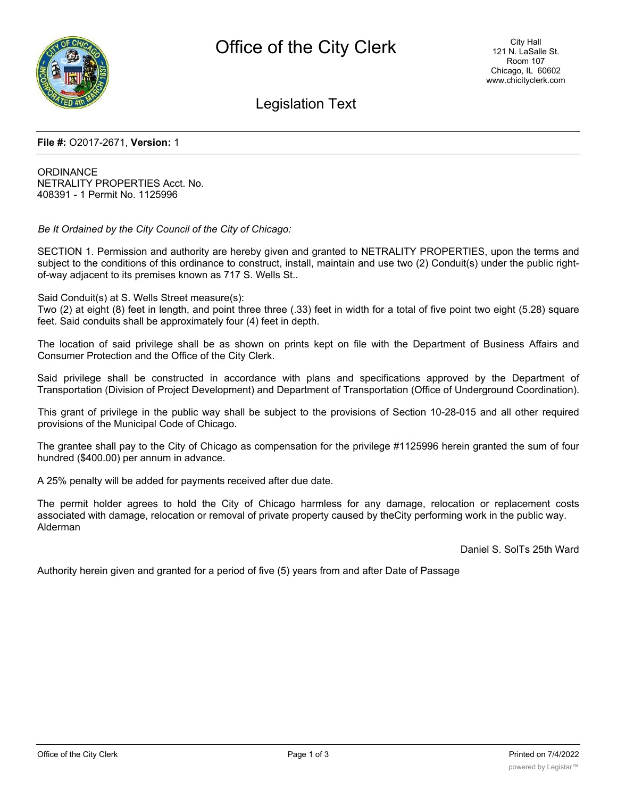

Legislation Text

## **File #:** O2017-2671, **Version:** 1

**ORDINANCE** NETRALITY PROPERTIES Acct. No. 408391 - 1 Permit No. 1125996

*Be It Ordained by the City Council of the City of Chicago:*

SECTION 1. Permission and authority are hereby given and granted to NETRALITY PROPERTIES, upon the terms and subject to the conditions of this ordinance to construct, install, maintain and use two (2) Conduit(s) under the public rightof-way adjacent to its premises known as 717 S. Wells St..

Said Conduit(s) at S. Wells Street measure(s):

Two (2) at eight (8) feet in length, and point three three (.33) feet in width for a total of five point two eight (5.28) square feet. Said conduits shall be approximately four (4) feet in depth.

The location of said privilege shall be as shown on prints kept on file with the Department of Business Affairs and Consumer Protection and the Office of the City Clerk.

Said privilege shall be constructed in accordance with plans and specifications approved by the Department of Transportation (Division of Project Development) and Department of Transportation (Office of Underground Coordination).

This grant of privilege in the public way shall be subject to the provisions of Section 10-28-015 and all other required provisions of the Municipal Code of Chicago.

The grantee shall pay to the City of Chicago as compensation for the privilege #1125996 herein granted the sum of four hundred (\$400.00) per annum in advance.

A 25% penalty will be added for payments received after due date.

The permit holder agrees to hold the City of Chicago harmless for any damage, relocation or replacement costs associated with damage, relocation or removal of private property caused by theCity performing work in the public way. Alderman

Daniel S. SolTs 25th Ward

Authority herein given and granted for a period of five (5) years from and after Date of Passage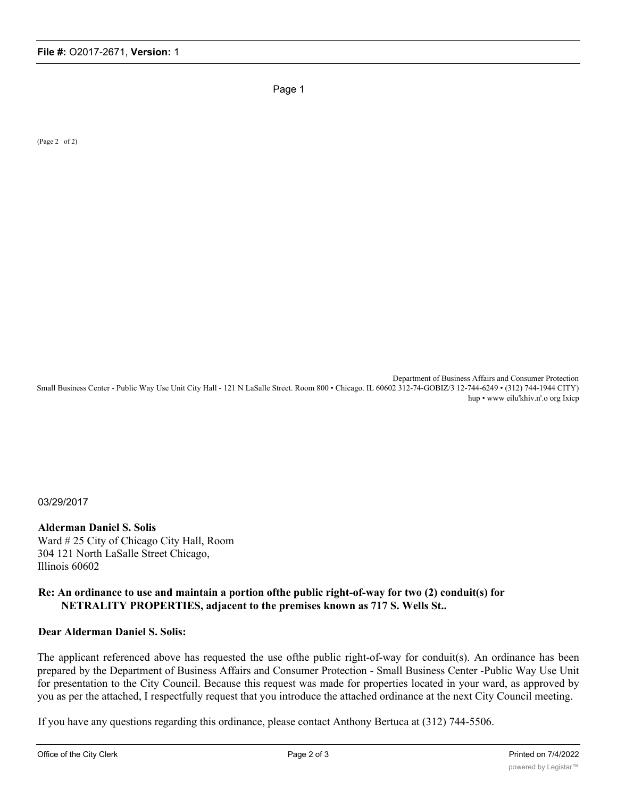Page 1

(Page 2 of 2)

Department of Business Affairs and Consumer Protection Small Business Center - Public Way Use Unit City Hall - 121 N LaSalle Street. Room 800 • Chicago. IL 60602 312-74-GOBIZ/3 12-744-6249 • (312) 744-1944 CITY) hup • www eilu'khiv.n'.o org Ixicp

03/29/2017

## **Alderman Daniel S. Solis**

Ward # 25 City of Chicago City Hall, Room 304 121 North LaSalle Street Chicago, Illinois 60602

## **Re: An ordinance to use and maintain a portion ofthe public right-of-way for two (2) conduit(s) for NETRALITY PROPERTIES, adjacent to the premises known as 717 S. Wells St..**

## **Dear Alderman Daniel S. Solis:**

The applicant referenced above has requested the use ofthe public right-of-way for conduit(s). An ordinance has been prepared by the Department of Business Affairs and Consumer Protection - Small Business Center -Public Way Use Unit for presentation to the City Council. Because this request was made for properties located in your ward, as approved by you as per the attached, I respectfully request that you introduce the attached ordinance at the next City Council meeting.

If you have any questions regarding this ordinance, please contact Anthony Bertuca at (312) 744-5506.